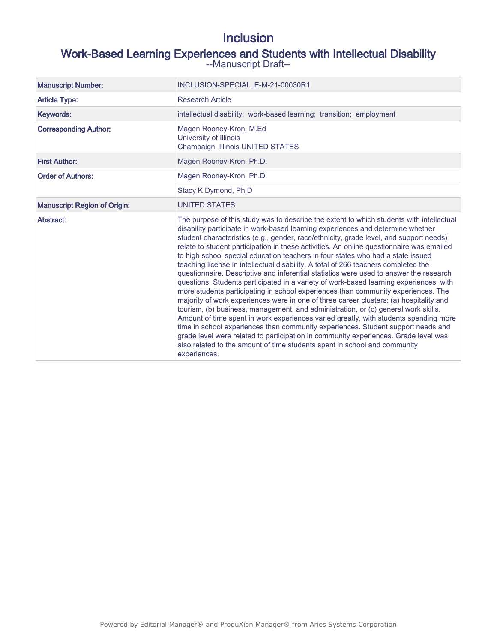# Inclusion

# Work-Based Learning Experiences and Students with Intellectual Disability --Manuscript Draft--

| <b>Manuscript Number:</b>           | INCLUSION-SPECIAL E-M-21-00030R1                                                                                                                                                                                                                                                                                                                                                                                                                                                                                                                                                                                                                                                                                                                                                                                                                                                                                                                                                                                                                                                                                                                                                                                                                                                                                                                                    |
|-------------------------------------|---------------------------------------------------------------------------------------------------------------------------------------------------------------------------------------------------------------------------------------------------------------------------------------------------------------------------------------------------------------------------------------------------------------------------------------------------------------------------------------------------------------------------------------------------------------------------------------------------------------------------------------------------------------------------------------------------------------------------------------------------------------------------------------------------------------------------------------------------------------------------------------------------------------------------------------------------------------------------------------------------------------------------------------------------------------------------------------------------------------------------------------------------------------------------------------------------------------------------------------------------------------------------------------------------------------------------------------------------------------------|
| <b>Article Type:</b>                | <b>Research Article</b>                                                                                                                                                                                                                                                                                                                                                                                                                                                                                                                                                                                                                                                                                                                                                                                                                                                                                                                                                                                                                                                                                                                                                                                                                                                                                                                                             |
| Keywords:                           | intellectual disability; work-based learning; transition; employment                                                                                                                                                                                                                                                                                                                                                                                                                                                                                                                                                                                                                                                                                                                                                                                                                                                                                                                                                                                                                                                                                                                                                                                                                                                                                                |
| <b>Corresponding Author:</b>        | Magen Rooney-Kron, M.Ed<br>University of Illinois<br>Champaign, Illinois UNITED STATES                                                                                                                                                                                                                                                                                                                                                                                                                                                                                                                                                                                                                                                                                                                                                                                                                                                                                                                                                                                                                                                                                                                                                                                                                                                                              |
| <b>First Author:</b>                | Magen Rooney-Kron, Ph.D.                                                                                                                                                                                                                                                                                                                                                                                                                                                                                                                                                                                                                                                                                                                                                                                                                                                                                                                                                                                                                                                                                                                                                                                                                                                                                                                                            |
| <b>Order of Authors:</b>            | Magen Rooney-Kron, Ph.D.                                                                                                                                                                                                                                                                                                                                                                                                                                                                                                                                                                                                                                                                                                                                                                                                                                                                                                                                                                                                                                                                                                                                                                                                                                                                                                                                            |
|                                     | Stacy K Dymond, Ph.D                                                                                                                                                                                                                                                                                                                                                                                                                                                                                                                                                                                                                                                                                                                                                                                                                                                                                                                                                                                                                                                                                                                                                                                                                                                                                                                                                |
| <b>Manuscript Region of Origin:</b> | <b>UNITED STATES</b>                                                                                                                                                                                                                                                                                                                                                                                                                                                                                                                                                                                                                                                                                                                                                                                                                                                                                                                                                                                                                                                                                                                                                                                                                                                                                                                                                |
| Abstract:                           | The purpose of this study was to describe the extent to which students with intellectual<br>disability participate in work-based learning experiences and determine whether<br>student characteristics (e.g., gender, race/ethnicity, grade level, and support needs)<br>relate to student participation in these activities. An online questionnaire was emailed<br>to high school special education teachers in four states who had a state issued<br>teaching license in intellectual disability. A total of 266 teachers completed the<br>questionnaire. Descriptive and inferential statistics were used to answer the research<br>questions. Students participated in a variety of work-based learning experiences, with<br>more students participating in school experiences than community experiences. The<br>majority of work experiences were in one of three career clusters: (a) hospitality and<br>tourism, (b) business, management, and administration, or (c) general work skills.<br>Amount of time spent in work experiences varied greatly, with students spending more<br>time in school experiences than community experiences. Student support needs and<br>grade level were related to participation in community experiences. Grade level was<br>also related to the amount of time students spent in school and community<br>experiences. |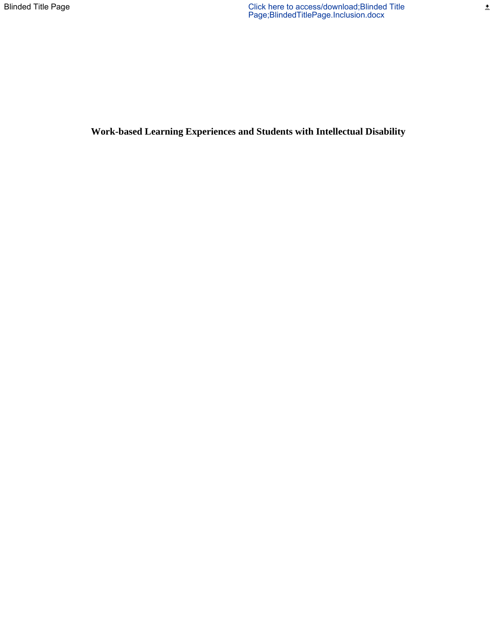**Work-based Learning Experiences and Students with Intellectual Disability**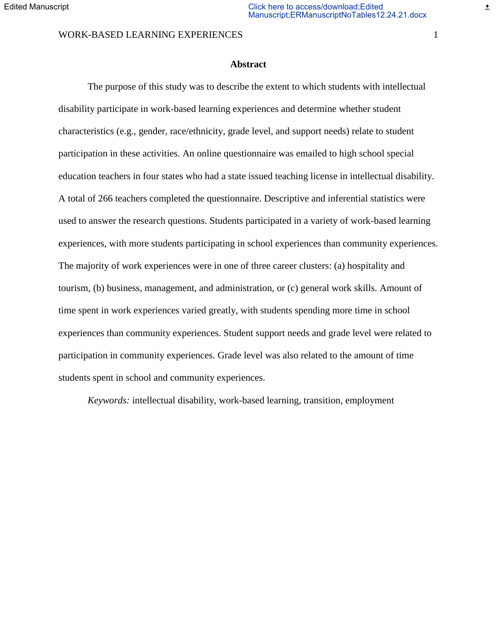### WORK-BASED LEARNING EXPERIENCES 1

### **Abstract**

The purpose of this study was to describe the extent to which students with intellectual disability participate in work-based learning experiences and determine whether student characteristics (e.g., gender, race/ethnicity, grade level, and support needs) relate to student participation in these activities. An online questionnaire was emailed to high school special education teachers in four states who had a state issued teaching license in intellectual disability. A total of 266 teachers completed the questionnaire. Descriptive and inferential statistics were used to answer the research questions. Students participated in a variety of work-based learning experiences, with more students participating in school experiences than community experiences. The majority of work experiences were in one of three career clusters: (a) hospitality and tourism, (b) business, management, and administration, or (c) general work skills. Amount of time spent in work experiences varied greatly, with students spending more time in school experiences than community experiences. Student support needs and grade level were related to participation in community experiences. Grade level was also related to the amount of time students spent in school and community experiences.

*Keywords:* intellectual disability, work-based learning, transition, employment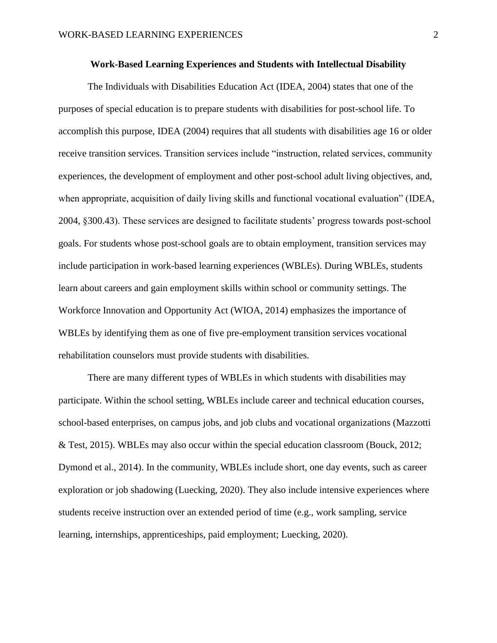#### **Work-Based Learning Experiences and Students with Intellectual Disability**

The Individuals with Disabilities Education Act (IDEA, 2004) states that one of the purposes of special education is to prepare students with disabilities for post-school life. To accomplish this purpose, IDEA (2004) requires that all students with disabilities age 16 or older receive transition services. Transition services include "instruction, related services, community experiences, the development of employment and other post-school adult living objectives, and, when appropriate, acquisition of daily living skills and functional vocational evaluation" (IDEA, 2004, §300.43). These services are designed to facilitate students' progress towards post-school goals. For students whose post-school goals are to obtain employment, transition services may include participation in work-based learning experiences (WBLEs). During WBLEs, students learn about careers and gain employment skills within school or community settings. The Workforce Innovation and Opportunity Act (WIOA, 2014) emphasizes the importance of WBLEs by identifying them as one of five pre-employment transition services vocational rehabilitation counselors must provide students with disabilities.

There are many different types of WBLEs in which students with disabilities may participate. Within the school setting, WBLEs include career and technical education courses, school-based enterprises, on campus jobs, and job clubs and vocational organizations (Mazzotti & Test, 2015). WBLEs may also occur within the special education classroom (Bouck, 2012; Dymond et al., 2014). In the community, WBLEs include short, one day events, such as career exploration or job shadowing (Luecking, 2020). They also include intensive experiences where students receive instruction over an extended period of time (e.g., work sampling, service learning, internships, apprenticeships, paid employment; Luecking, 2020).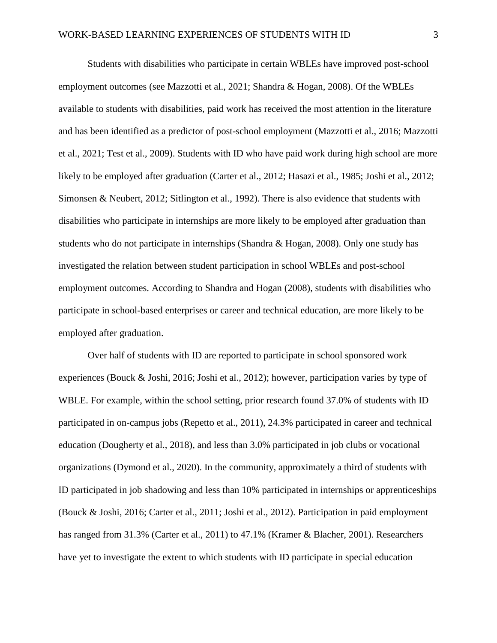Students with disabilities who participate in certain WBLEs have improved post-school employment outcomes (see Mazzotti et al., 2021; Shandra & Hogan, 2008). Of the WBLEs available to students with disabilities, paid work has received the most attention in the literature and has been identified as a predictor of post-school employment (Mazzotti et al., 2016; Mazzotti et al., 2021; Test et al., 2009). Students with ID who have paid work during high school are more likely to be employed after graduation (Carter et al., 2012; Hasazi et al., 1985; Joshi et al., 2012; Simonsen & Neubert, 2012; Sitlington et al., 1992). There is also evidence that students with disabilities who participate in internships are more likely to be employed after graduation than students who do not participate in internships (Shandra & Hogan, 2008). Only one study has investigated the relation between student participation in school WBLEs and post-school employment outcomes. According to Shandra and Hogan (2008), students with disabilities who participate in school-based enterprises or career and technical education, are more likely to be employed after graduation.

Over half of students with ID are reported to participate in school sponsored work experiences (Bouck & Joshi, 2016; Joshi et al., 2012); however, participation varies by type of WBLE. For example, within the school setting, prior research found 37.0% of students with ID participated in on-campus jobs (Repetto et al., 2011), 24.3% participated in career and technical education (Dougherty et al., 2018), and less than 3.0% participated in job clubs or vocational organizations (Dymond et al., 2020). In the community, approximately a third of students with ID participated in job shadowing and less than 10% participated in internships or apprenticeships (Bouck & Joshi, 2016; Carter et al., 2011; Joshi et al., 2012). Participation in paid employment has ranged from 31.3% (Carter et al., 2011) to 47.1% (Kramer & Blacher, 2001). Researchers have yet to investigate the extent to which students with ID participate in special education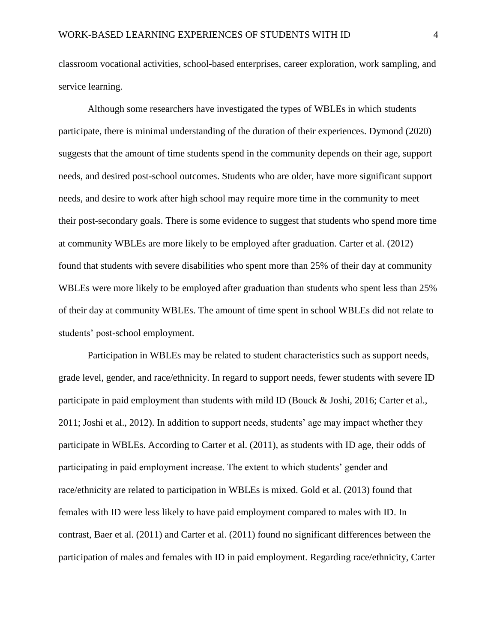classroom vocational activities, school-based enterprises, career exploration, work sampling, and service learning.

Although some researchers have investigated the types of WBLEs in which students participate, there is minimal understanding of the duration of their experiences. Dymond (2020) suggests that the amount of time students spend in the community depends on their age, support needs, and desired post-school outcomes. Students who are older, have more significant support needs, and desire to work after high school may require more time in the community to meet their post-secondary goals. There is some evidence to suggest that students who spend more time at community WBLEs are more likely to be employed after graduation. Carter et al. (2012) found that students with severe disabilities who spent more than 25% of their day at community WBLEs were more likely to be employed after graduation than students who spent less than 25% of their day at community WBLEs. The amount of time spent in school WBLEs did not relate to students' post-school employment.

Participation in WBLEs may be related to student characteristics such as support needs, grade level, gender, and race/ethnicity. In regard to support needs, fewer students with severe ID participate in paid employment than students with mild ID (Bouck & Joshi, 2016; Carter et al., 2011; Joshi et al., 2012). In addition to support needs, students' age may impact whether they participate in WBLEs. According to Carter et al. (2011), as students with ID age, their odds of participating in paid employment increase. The extent to which students' gender and race/ethnicity are related to participation in WBLEs is mixed. Gold et al. (2013) found that females with ID were less likely to have paid employment compared to males with ID. In contrast, Baer et al. (2011) and Carter et al. (2011) found no significant differences between the participation of males and females with ID in paid employment. Regarding race/ethnicity, Carter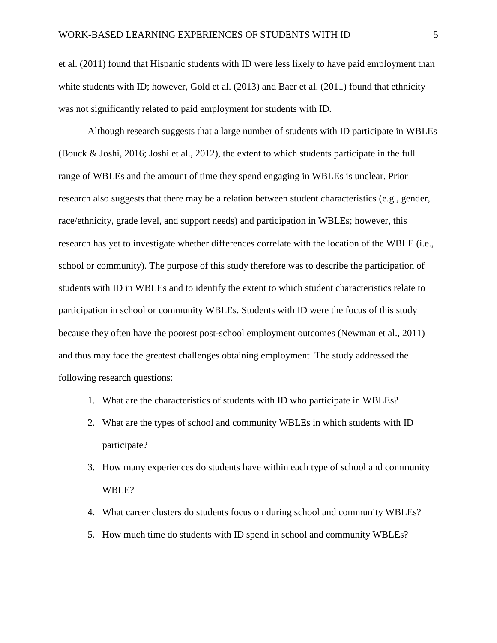et al. (2011) found that Hispanic students with ID were less likely to have paid employment than white students with ID; however, Gold et al. (2013) and Baer et al. (2011) found that ethnicity was not significantly related to paid employment for students with ID.

Although research suggests that a large number of students with ID participate in WBLEs (Bouck & Joshi, 2016; Joshi et al., 2012), the extent to which students participate in the full range of WBLEs and the amount of time they spend engaging in WBLEs is unclear. Prior research also suggests that there may be a relation between student characteristics (e.g., gender, race/ethnicity, grade level, and support needs) and participation in WBLEs; however, this research has yet to investigate whether differences correlate with the location of the WBLE (i.e., school or community). The purpose of this study therefore was to describe the participation of students with ID in WBLEs and to identify the extent to which student characteristics relate to participation in school or community WBLEs. Students with ID were the focus of this study because they often have the poorest post-school employment outcomes (Newman et al., 2011) and thus may face the greatest challenges obtaining employment. The study addressed the following research questions:

- 1. What are the characteristics of students with ID who participate in WBLEs?
- 2. What are the types of school and community WBLEs in which students with ID participate?
- 3. How many experiences do students have within each type of school and community WBLE?
- 4. What career clusters do students focus on during school and community WBLEs?
- 5. How much time do students with ID spend in school and community WBLEs?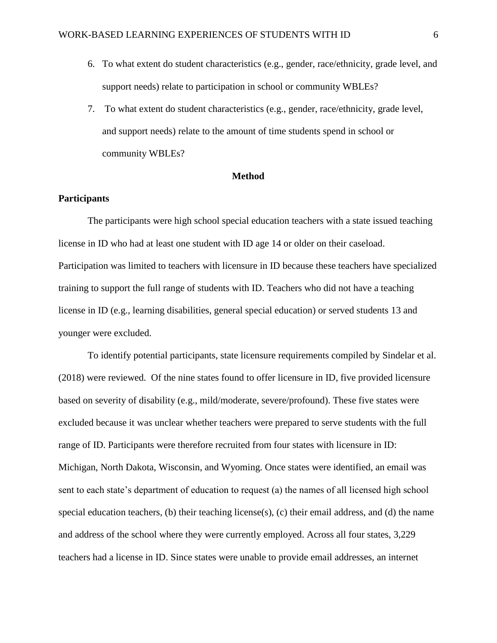- 6. To what extent do student characteristics (e.g., gender, race/ethnicity, grade level, and support needs) relate to participation in school or community WBLEs?
- 7. To what extent do student characteristics (e.g., gender, race/ethnicity, grade level, and support needs) relate to the amount of time students spend in school or community WBLEs?

#### **Method**

### **Participants**

The participants were high school special education teachers with a state issued teaching license in ID who had at least one student with ID age 14 or older on their caseload. Participation was limited to teachers with licensure in ID because these teachers have specialized training to support the full range of students with ID. Teachers who did not have a teaching license in ID (e.g., learning disabilities, general special education) or served students 13 and younger were excluded.

To identify potential participants, state licensure requirements compiled by Sindelar et al. (2018) were reviewed. Of the nine states found to offer licensure in ID, five provided licensure based on severity of disability (e.g., mild/moderate, severe/profound). These five states were excluded because it was unclear whether teachers were prepared to serve students with the full range of ID. Participants were therefore recruited from four states with licensure in ID: Michigan, North Dakota, Wisconsin, and Wyoming. Once states were identified, an email was sent to each state's department of education to request (a) the names of all licensed high school special education teachers, (b) their teaching license(s), (c) their email address, and (d) the name and address of the school where they were currently employed. Across all four states, 3,229 teachers had a license in ID. Since states were unable to provide email addresses, an internet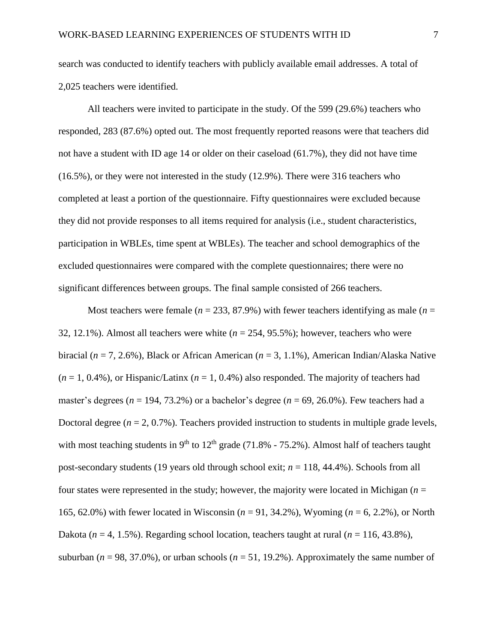search was conducted to identify teachers with publicly available email addresses. A total of 2,025 teachers were identified.

All teachers were invited to participate in the study. Of the 599 (29.6%) teachers who responded, 283 (87.6%) opted out. The most frequently reported reasons were that teachers did not have a student with ID age 14 or older on their caseload (61.7%), they did not have time (16.5%), or they were not interested in the study (12.9%). There were 316 teachers who completed at least a portion of the questionnaire. Fifty questionnaires were excluded because they did not provide responses to all items required for analysis (i.e., student characteristics, participation in WBLEs, time spent at WBLEs). The teacher and school demographics of the excluded questionnaires were compared with the complete questionnaires; there were no significant differences between groups. The final sample consisted of 266 teachers.

Most teachers were female ( $n = 233, 87.9\%$ ) with fewer teachers identifying as male ( $n =$ 32, 12.1%). Almost all teachers were white (*n* = 254, 95.5%); however, teachers who were biracial (*n* = 7, 2.6%), Black or African American (*n* = 3, 1.1%), American Indian/Alaska Native  $(n = 1, 0.4\%)$ , or Hispanic/Latinx  $(n = 1, 0.4\%)$  also responded. The majority of teachers had master's degrees ( $n = 194, 73.2\%$ ) or a bachelor's degree ( $n = 69, 26.0\%$ ). Few teachers had a Doctoral degree  $(n = 2, 0.7\%)$ . Teachers provided instruction to students in multiple grade levels, with most teaching students in 9<sup>th</sup> to 12<sup>th</sup> grade (71.8% - 75.2%). Almost half of teachers taught post-secondary students (19 years old through school exit; *n* = 118, 44.4%). Schools from all four states were represented in the study; however, the majority were located in Michigan (*n* = 165, 62.0%) with fewer located in Wisconsin (*n* = 91, 34.2%), Wyoming (*n* = 6, 2.2%), or North Dakota ( $n = 4$ , 1.5%). Regarding school location, teachers taught at rural ( $n = 116, 43.8\%$ ), suburban ( $n = 98, 37.0\%$ ), or urban schools ( $n = 51, 19.2\%$ ). Approximately the same number of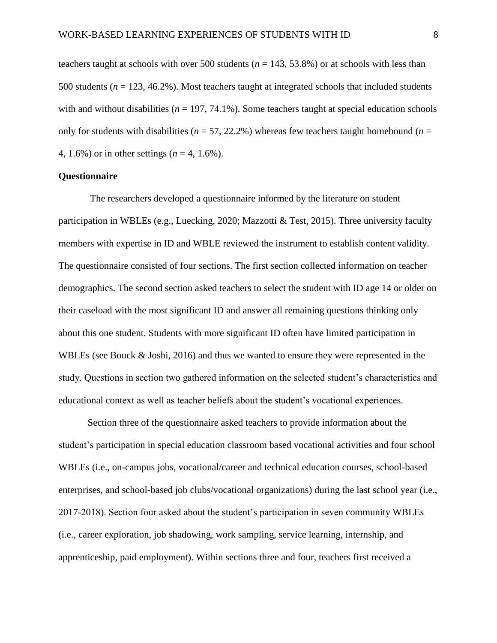teachers taught at schools with over 500 students ( $n = 143, 53.8\%$ ) or at schools with less than 500 students (*n* = 123, 46.2%). Most teachers taught at integrated schools that included students with and without disabilities ( $n = 197, 74.1\%$ ). Some teachers taught at special education schools only for students with disabilities ( $n = 57, 22.2\%$ ) whereas few teachers taught homebound ( $n =$ 4, 1.6%) or in other settings (*n* = 4, 1.6%).

### **Questionnaire**

The researchers developed a questionnaire informed by the literature on student participation in WBLEs (e.g., Luecking, 2020; Mazzotti & Test, 2015). Three university faculty members with expertise in ID and WBLE reviewed the instrument to establish content validity. The questionnaire consisted of four sections. The first section collected information on teacher demographics. The second section asked teachers to select the student with ID age 14 or older on their caseload with the most significant ID and answer all remaining questions thinking only about this one student. Students with more significant ID often have limited participation in WBLEs (see Bouck & Joshi, 2016) and thus we wanted to ensure they were represented in the study. Questions in section two gathered information on the selected student's characteristics and educational context as well as teacher beliefs about the student's vocational experiences.

Section three of the questionnaire asked teachers to provide information about the student's participation in special education classroom based vocational activities and four school WBLEs (i.e., on-campus jobs, vocational/career and technical education courses, school-based enterprises, and school-based job clubs/vocational organizations) during the last school year (i.e., 2017-2018). Section four asked about the student's participation in seven community WBLEs (i.e., career exploration, job shadowing, work sampling, service learning, internship, and apprenticeship, paid employment). Within sections three and four, teachers first received a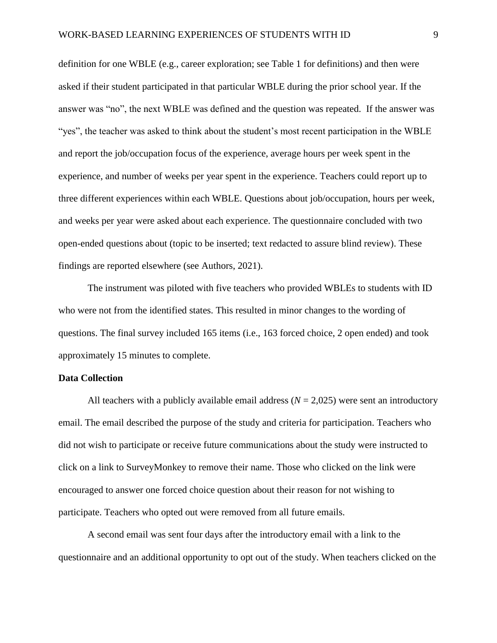definition for one WBLE (e.g., career exploration; see Table 1 for definitions) and then were asked if their student participated in that particular WBLE during the prior school year. If the answer was "no", the next WBLE was defined and the question was repeated. If the answer was "yes", the teacher was asked to think about the student's most recent participation in the WBLE and report the job/occupation focus of the experience, average hours per week spent in the experience, and number of weeks per year spent in the experience. Teachers could report up to three different experiences within each WBLE. Questions about job/occupation, hours per week, and weeks per year were asked about each experience. The questionnaire concluded with two open-ended questions about (topic to be inserted; text redacted to assure blind review). These findings are reported elsewhere (see Authors, 2021).

The instrument was piloted with five teachers who provided WBLEs to students with ID who were not from the identified states. This resulted in minor changes to the wording of questions. The final survey included 165 items (i.e., 163 forced choice, 2 open ended) and took approximately 15 minutes to complete.

### **Data Collection**

All teachers with a publicly available email address  $(N = 2,025)$  were sent an introductory email. The email described the purpose of the study and criteria for participation. Teachers who did not wish to participate or receive future communications about the study were instructed to click on a link to SurveyMonkey to remove their name. Those who clicked on the link were encouraged to answer one forced choice question about their reason for not wishing to participate. Teachers who opted out were removed from all future emails.

A second email was sent four days after the introductory email with a link to the questionnaire and an additional opportunity to opt out of the study. When teachers clicked on the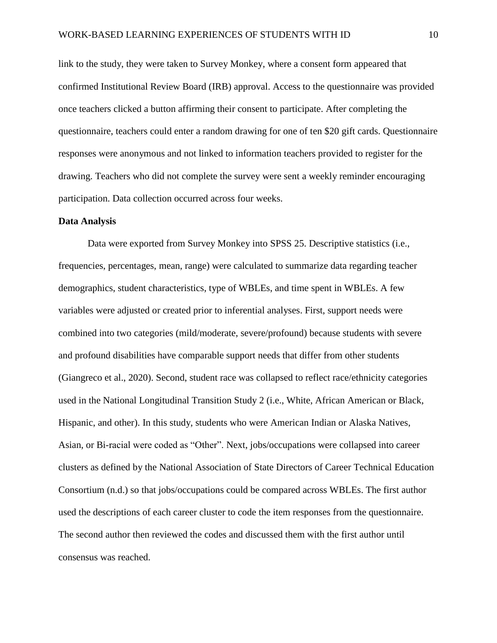link to the study, they were taken to Survey Monkey, where a consent form appeared that confirmed Institutional Review Board (IRB) approval. Access to the questionnaire was provided once teachers clicked a button affirming their consent to participate. After completing the questionnaire, teachers could enter a random drawing for one of ten \$20 gift cards. Questionnaire responses were anonymous and not linked to information teachers provided to register for the drawing. Teachers who did not complete the survey were sent a weekly reminder encouraging participation. Data collection occurred across four weeks.

### **Data Analysis**

Data were exported from Survey Monkey into SPSS 25. Descriptive statistics (i.e., frequencies, percentages, mean, range) were calculated to summarize data regarding teacher demographics, student characteristics, type of WBLEs, and time spent in WBLEs. A few variables were adjusted or created prior to inferential analyses. First, support needs were combined into two categories (mild/moderate, severe/profound) because students with severe and profound disabilities have comparable support needs that differ from other students (Giangreco et al., 2020). Second, student race was collapsed to reflect race/ethnicity categories used in the National Longitudinal Transition Study 2 (i.e., White, African American or Black, Hispanic, and other). In this study, students who were American Indian or Alaska Natives, Asian, or Bi-racial were coded as "Other". Next, jobs/occupations were collapsed into career clusters as defined by the National Association of State Directors of Career Technical Education Consortium (n.d.) so that jobs/occupations could be compared across WBLEs. The first author used the descriptions of each career cluster to code the item responses from the questionnaire. The second author then reviewed the codes and discussed them with the first author until consensus was reached.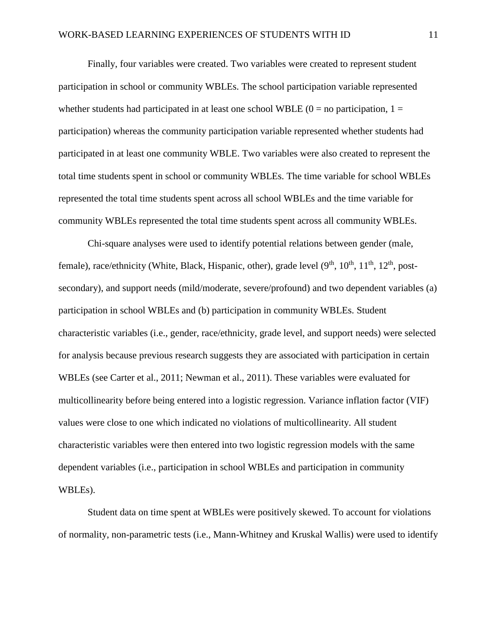Finally, four variables were created. Two variables were created to represent student participation in school or community WBLEs. The school participation variable represented whether students had participated in at least one school WBLE  $(0 = no$  participation,  $1 =$ participation) whereas the community participation variable represented whether students had participated in at least one community WBLE. Two variables were also created to represent the total time students spent in school or community WBLEs. The time variable for school WBLEs represented the total time students spent across all school WBLEs and the time variable for community WBLEs represented the total time students spent across all community WBLEs.

Chi-square analyses were used to identify potential relations between gender (male, female), race/ethnicity (White, Black, Hispanic, other), grade level (9<sup>th</sup>, 10<sup>th</sup>, 11<sup>th</sup>, 12<sup>th</sup>, postsecondary), and support needs (mild/moderate, severe/profound) and two dependent variables (a) participation in school WBLEs and (b) participation in community WBLEs. Student characteristic variables (i.e., gender, race/ethnicity, grade level, and support needs) were selected for analysis because previous research suggests they are associated with participation in certain WBLEs (see Carter et al., 2011; Newman et al., 2011). These variables were evaluated for multicollinearity before being entered into a logistic regression. Variance inflation factor (VIF) values were close to one which indicated no violations of multicollinearity. All student characteristic variables were then entered into two logistic regression models with the same dependent variables (i.e., participation in school WBLEs and participation in community WBLEs).

Student data on time spent at WBLEs were positively skewed. To account for violations of normality, non-parametric tests (i.e., Mann-Whitney and Kruskal Wallis) were used to identify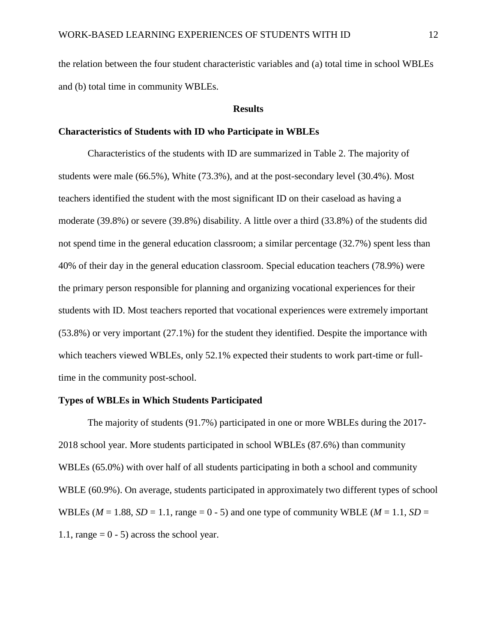the relation between the four student characteristic variables and (a) total time in school WBLEs and (b) total time in community WBLEs.

#### **Results**

#### **Characteristics of Students with ID who Participate in WBLEs**

Characteristics of the students with ID are summarized in Table 2. The majority of students were male (66.5%), White (73.3%), and at the post-secondary level (30.4%). Most teachers identified the student with the most significant ID on their caseload as having a moderate (39.8%) or severe (39.8%) disability. A little over a third (33.8%) of the students did not spend time in the general education classroom; a similar percentage (32.7%) spent less than 40% of their day in the general education classroom. Special education teachers (78.9%) were the primary person responsible for planning and organizing vocational experiences for their students with ID. Most teachers reported that vocational experiences were extremely important (53.8%) or very important (27.1%) for the student they identified. Despite the importance with which teachers viewed WBLEs, only 52.1% expected their students to work part-time or fulltime in the community post-school.

#### **Types of WBLEs in Which Students Participated**

The majority of students (91.7%) participated in one or more WBLEs during the 2017- 2018 school year. More students participated in school WBLEs (87.6%) than community WBLEs (65.0%) with over half of all students participating in both a school and community WBLE (60.9%). On average, students participated in approximately two different types of school WBLEs ( $M = 1.88$ ,  $SD = 1.1$ , range = 0 - 5) and one type of community WBLE ( $M = 1.1$ ,  $SD =$ 1.1, range  $= 0 - 5$ ) across the school year.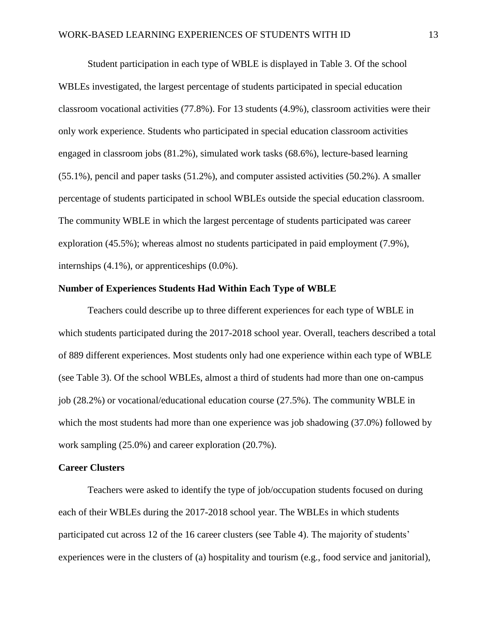Student participation in each type of WBLE is displayed in Table 3. Of the school WBLEs investigated, the largest percentage of students participated in special education classroom vocational activities (77.8%). For 13 students (4.9%), classroom activities were their only work experience. Students who participated in special education classroom activities engaged in classroom jobs (81.2%), simulated work tasks (68.6%), lecture-based learning (55.1%), pencil and paper tasks (51.2%), and computer assisted activities (50.2%). A smaller percentage of students participated in school WBLEs outside the special education classroom. The community WBLE in which the largest percentage of students participated was career exploration (45.5%); whereas almost no students participated in paid employment (7.9%), internships (4.1%), or apprenticeships (0.0%).

#### **Number of Experiences Students Had Within Each Type of WBLE**

Teachers could describe up to three different experiences for each type of WBLE in which students participated during the 2017-2018 school year. Overall, teachers described a total of 889 different experiences. Most students only had one experience within each type of WBLE (see Table 3). Of the school WBLEs, almost a third of students had more than one on-campus job (28.2%) or vocational/educational education course (27.5%). The community WBLE in which the most students had more than one experience was job shadowing (37.0%) followed by work sampling (25.0%) and career exploration (20.7%).

#### **Career Clusters**

Teachers were asked to identify the type of job/occupation students focused on during each of their WBLEs during the 2017-2018 school year. The WBLEs in which students participated cut across 12 of the 16 career clusters (see Table 4). The majority of students' experiences were in the clusters of (a) hospitality and tourism (e.g., food service and janitorial),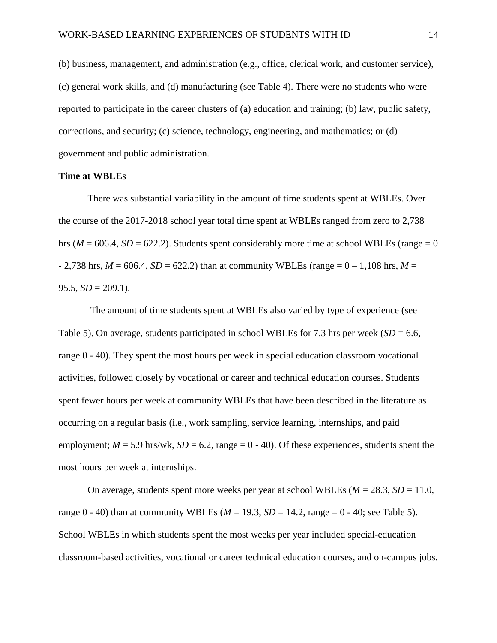(b) business, management, and administration (e.g., office, clerical work, and customer service), (c) general work skills, and (d) manufacturing (see Table 4). There were no students who were reported to participate in the career clusters of (a) education and training; (b) law, public safety, corrections, and security; (c) science, technology, engineering, and mathematics; or (d) government and public administration.

#### **Time at WBLEs**

There was substantial variability in the amount of time students spent at WBLEs. Over the course of the 2017-2018 school year total time spent at WBLEs ranged from zero to 2,738 hrs ( $M = 606.4$ ,  $SD = 622.2$ ). Students spent considerably more time at school WBLEs (range  $= 0$ )  $- 2,738$  hrs,  $M = 606.4$ ,  $SD = 622.2$ ) than at community WBLEs (range =  $0 - 1,108$  hrs,  $M = 0$ 95.5,  $SD = 209.1$ ).

The amount of time students spent at WBLEs also varied by type of experience (see Table 5). On average, students participated in school WBLEs for 7.3 hrs per week  $(SD = 6.6,$ range 0 - 40). They spent the most hours per week in special education classroom vocational activities, followed closely by vocational or career and technical education courses. Students spent fewer hours per week at community WBLEs that have been described in the literature as occurring on a regular basis (i.e., work sampling, service learning, internships, and paid employment;  $M = 5.9$  hrs/wk,  $SD = 6.2$ , range  $= 0 - 40$ ). Of these experiences, students spent the most hours per week at internships.

On average, students spent more weeks per year at school WBLEs ( $M = 28.3$ ,  $SD = 11.0$ , range  $0 - 40$  than at community WBLEs ( $M = 19.3$ ,  $SD = 14.2$ , range  $= 0 - 40$ ; see Table 5). School WBLEs in which students spent the most weeks per year included special-education classroom-based activities, vocational or career technical education courses, and on-campus jobs.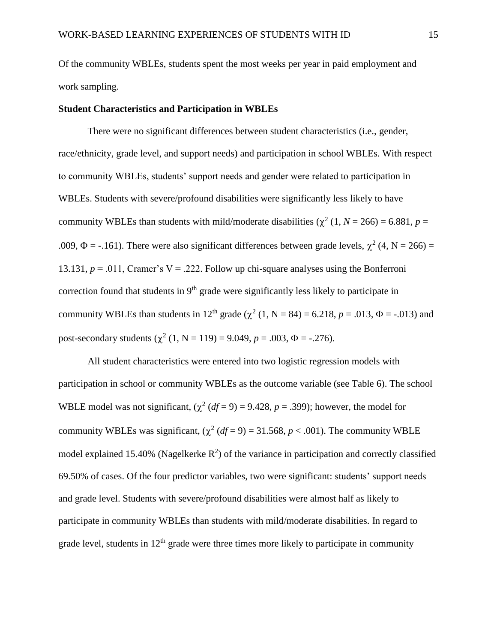Of the community WBLEs, students spent the most weeks per year in paid employment and work sampling.

### **Student Characteristics and Participation in WBLEs**

There were no significant differences between student characteristics (i.e., gender, race/ethnicity, grade level, and support needs) and participation in school WBLEs. With respect to community WBLEs, students' support needs and gender were related to participation in WBLEs. Students with severe/profound disabilities were significantly less likely to have community WBLEs than students with mild/moderate disabilities  $(\chi^2 (1, N = 266) = 6.881, p =$ .009,  $\Phi$  = -.161). There were also significant differences between grade levels,  $\chi^2$  (4, N = 266) = 13.131,  $p = .011$ , Cramer's V = .222. Follow up chi-square analyses using the Bonferroni correction found that students in  $9<sup>th</sup>$  grade were significantly less likely to participate in community WBLEs than students in 12<sup>th</sup> grade ( $\chi^2$  (1, N = 84) = 6.218, p = .013,  $\Phi$  = -.013) and post-secondary students  $(\chi^2 (1, N = 119) = 9.049, p = .003, \Phi = -.276)$ .

All student characteristics were entered into two logistic regression models with participation in school or community WBLEs as the outcome variable (see Table 6). The school WBLE model was not significant,  $(\chi^2 (df = 9) = 9.428, p = .399)$ ; however, the model for community WBLEs was significant,  $(\chi^2 (df = 9) = 31.568, p < .001)$ . The community WBLE model explained 15.40% (Nagelkerke  $\mathbb{R}^2$ ) of the variance in participation and correctly classified 69.50% of cases. Of the four predictor variables, two were significant: students' support needs and grade level. Students with severe/profound disabilities were almost half as likely to participate in community WBLEs than students with mild/moderate disabilities. In regard to grade level, students in  $12<sup>th</sup>$  grade were three times more likely to participate in community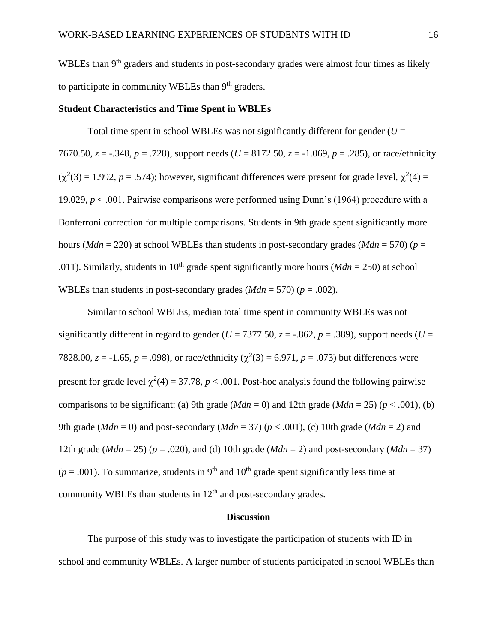WBLEs than 9<sup>th</sup> graders and students in post-secondary grades were almost four times as likely to participate in community WBLEs than 9<sup>th</sup> graders.

### **Student Characteristics and Time Spent in WBLEs**

Total time spent in school WBLEs was not significantly different for gender  $(U =$ 7670.50, *z* = -.348, *p* = .728), support needs (*U* = 8172.50, *z* = -1.069, *p* = .285), or race/ethnicity  $(\chi^2(3) = 1.992, p = .574)$ ; however, significant differences were present for grade level,  $\chi^2(4) =$ 19.029, *p* < .001. Pairwise comparisons were performed using Dunn's (1964) procedure with a Bonferroni correction for multiple comparisons. Students in 9th grade spent significantly more hours (*Mdn* = 220) at school WBLEs than students in post-secondary grades (*Mdn* = 570) ( $p =$ .011). Similarly, students in 10<sup>th</sup> grade spent significantly more hours ( $Mdn = 250$ ) at school WBLEs than students in post-secondary grades  $(Mdn = 570)$  ( $p = .002$ ).

Similar to school WBLEs, median total time spent in community WBLEs was not significantly different in regard to gender ( $U = 7377.50$ ,  $z = -.862$ ,  $p = .389$ ), support needs ( $U =$ 7828.00,  $z = -1.65$ ,  $p = .098$ ), or race/ethnicity ( $\chi^2(3) = 6.971$ ,  $p = .073$ ) but differences were present for grade level  $\chi^2(4) = 37.78$ ,  $p < .001$ . Post-hoc analysis found the following pairwise comparisons to be significant: (a) 9th grade ( $Mdn = 0$ ) and 12th grade ( $Mdn = 25$ ) ( $p < .001$ ), (b) 9th grade ( $Mdn = 0$ ) and post-secondary ( $Mdn = 37$ ) ( $p < .001$ ), (c) 10th grade ( $Mdn = 2$ ) and 12th grade ( $Mdn = 25$ ) ( $p = .020$ ), and (d) 10th grade ( $Mdn = 2$ ) and post-secondary ( $Mdn = 37$ )  $(p = .001)$ . To summarize, students in 9<sup>th</sup> and 10<sup>th</sup> grade spent significantly less time at community WBLEs than students in  $12<sup>th</sup>$  and post-secondary grades.

#### **Discussion**

The purpose of this study was to investigate the participation of students with ID in school and community WBLEs. A larger number of students participated in school WBLEs than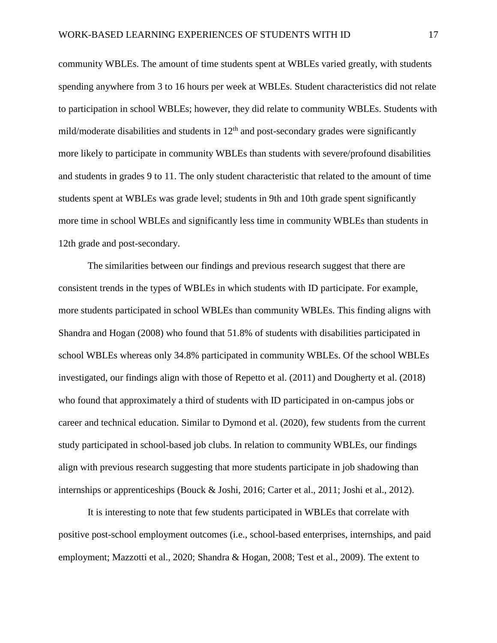community WBLEs. The amount of time students spent at WBLEs varied greatly, with students spending anywhere from 3 to 16 hours per week at WBLEs. Student characteristics did not relate to participation in school WBLEs; however, they did relate to community WBLEs. Students with mild/moderate disabilities and students in  $12<sup>th</sup>$  and post-secondary grades were significantly more likely to participate in community WBLEs than students with severe/profound disabilities and students in grades 9 to 11. The only student characteristic that related to the amount of time students spent at WBLEs was grade level; students in 9th and 10th grade spent significantly more time in school WBLEs and significantly less time in community WBLEs than students in 12th grade and post-secondary.

The similarities between our findings and previous research suggest that there are consistent trends in the types of WBLEs in which students with ID participate. For example, more students participated in school WBLEs than community WBLEs. This finding aligns with Shandra and Hogan (2008) who found that 51.8% of students with disabilities participated in school WBLEs whereas only 34.8% participated in community WBLEs. Of the school WBLEs investigated, our findings align with those of Repetto et al. (2011) and Dougherty et al. (2018) who found that approximately a third of students with ID participated in on-campus jobs or career and technical education. Similar to Dymond et al. (2020), few students from the current study participated in school-based job clubs. In relation to community WBLEs, our findings align with previous research suggesting that more students participate in job shadowing than internships or apprenticeships (Bouck & Joshi, 2016; Carter et al., 2011; Joshi et al., 2012).

It is interesting to note that few students participated in WBLEs that correlate with positive post-school employment outcomes (i.e., school-based enterprises, internships, and paid employment; Mazzotti et al., 2020; Shandra & Hogan, 2008; Test et al., 2009). The extent to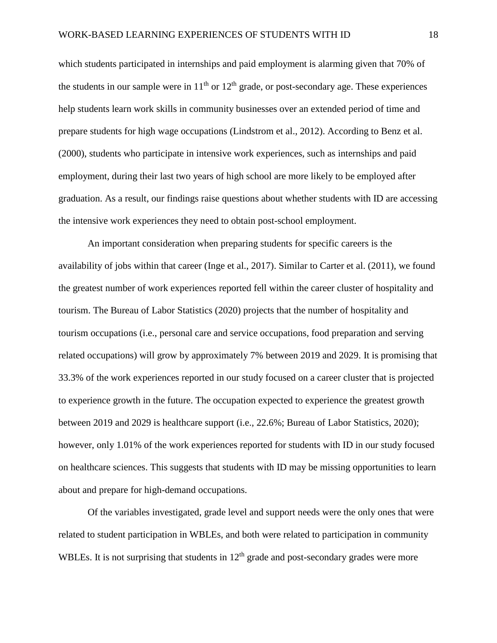which students participated in internships and paid employment is alarming given that 70% of the students in our sample were in  $11<sup>th</sup>$  or  $12<sup>th</sup>$  grade, or post-secondary age. These experiences help students learn work skills in community businesses over an extended period of time and prepare students for high wage occupations (Lindstrom et al., 2012). According to Benz et al. (2000), students who participate in intensive work experiences, such as internships and paid employment, during their last two years of high school are more likely to be employed after graduation. As a result, our findings raise questions about whether students with ID are accessing the intensive work experiences they need to obtain post-school employment.

An important consideration when preparing students for specific careers is the availability of jobs within that career (Inge et al., 2017). Similar to Carter et al. (2011), we found the greatest number of work experiences reported fell within the career cluster of hospitality and tourism. The Bureau of Labor Statistics (2020) projects that the number of hospitality and tourism occupations (i.e., personal care and service occupations, food preparation and serving related occupations) will grow by approximately 7% between 2019 and 2029. It is promising that 33.3% of the work experiences reported in our study focused on a career cluster that is projected to experience growth in the future. The occupation expected to experience the greatest growth between 2019 and 2029 is healthcare support (i.e., 22.6%; Bureau of Labor Statistics, 2020); however, only 1.01% of the work experiences reported for students with ID in our study focused on healthcare sciences. This suggests that students with ID may be missing opportunities to learn about and prepare for high-demand occupations.

Of the variables investigated, grade level and support needs were the only ones that were related to student participation in WBLEs, and both were related to participation in community WBLEs. It is not surprising that students in  $12<sup>th</sup>$  grade and post-secondary grades were more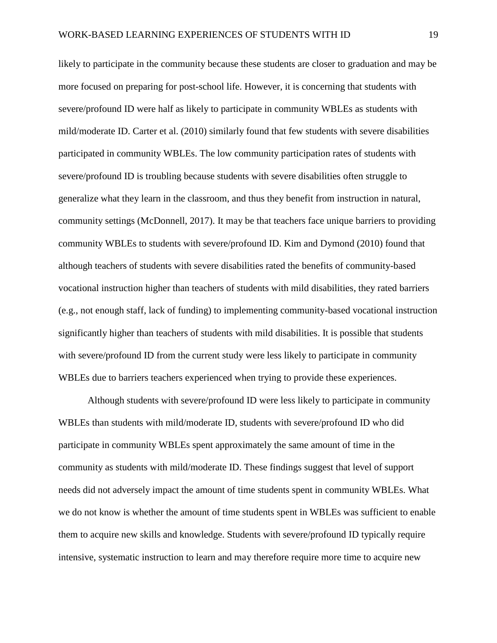likely to participate in the community because these students are closer to graduation and may be more focused on preparing for post-school life. However, it is concerning that students with severe/profound ID were half as likely to participate in community WBLEs as students with mild/moderate ID. Carter et al. (2010) similarly found that few students with severe disabilities participated in community WBLEs. The low community participation rates of students with severe/profound ID is troubling because students with severe disabilities often struggle to generalize what they learn in the classroom, and thus they benefit from instruction in natural, community settings (McDonnell, 2017). It may be that teachers face unique barriers to providing community WBLEs to students with severe/profound ID. Kim and Dymond (2010) found that although teachers of students with severe disabilities rated the benefits of community-based vocational instruction higher than teachers of students with mild disabilities, they rated barriers (e.g., not enough staff, lack of funding) to implementing community-based vocational instruction significantly higher than teachers of students with mild disabilities. It is possible that students with severe/profound ID from the current study were less likely to participate in community WBLEs due to barriers teachers experienced when trying to provide these experiences.

Although students with severe/profound ID were less likely to participate in community WBLEs than students with mild/moderate ID, students with severe/profound ID who did participate in community WBLEs spent approximately the same amount of time in the community as students with mild/moderate ID. These findings suggest that level of support needs did not adversely impact the amount of time students spent in community WBLEs. What we do not know is whether the amount of time students spent in WBLEs was sufficient to enable them to acquire new skills and knowledge. Students with severe/profound ID typically require intensive, systematic instruction to learn and may therefore require more time to acquire new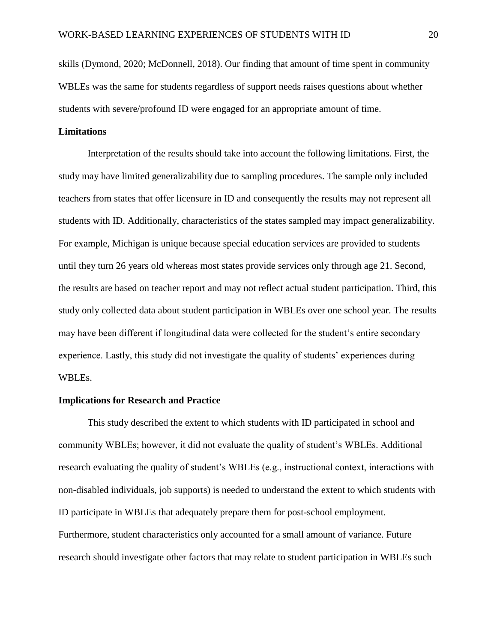skills (Dymond, 2020; McDonnell, 2018). Our finding that amount of time spent in community WBLEs was the same for students regardless of support needs raises questions about whether students with severe/profound ID were engaged for an appropriate amount of time.

## **Limitations**

Interpretation of the results should take into account the following limitations. First, the study may have limited generalizability due to sampling procedures. The sample only included teachers from states that offer licensure in ID and consequently the results may not represent all students with ID. Additionally, characteristics of the states sampled may impact generalizability. For example, Michigan is unique because special education services are provided to students until they turn 26 years old whereas most states provide services only through age 21. Second, the results are based on teacher report and may not reflect actual student participation. Third, this study only collected data about student participation in WBLEs over one school year. The results may have been different if longitudinal data were collected for the student's entire secondary experience. Lastly, this study did not investigate the quality of students' experiences during WBLEs.

#### **Implications for Research and Practice**

This study described the extent to which students with ID participated in school and community WBLEs; however, it did not evaluate the quality of student's WBLEs. Additional research evaluating the quality of student's WBLEs (e.g., instructional context, interactions with non-disabled individuals, job supports) is needed to understand the extent to which students with ID participate in WBLEs that adequately prepare them for post-school employment. Furthermore, student characteristics only accounted for a small amount of variance. Future research should investigate other factors that may relate to student participation in WBLEs such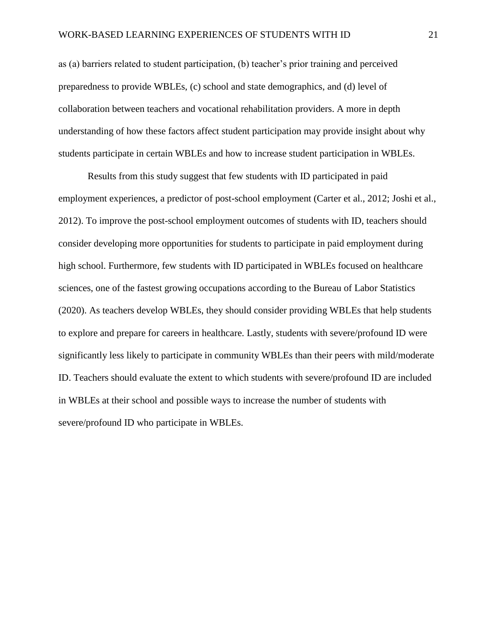as (a) barriers related to student participation, (b) teacher's prior training and perceived preparedness to provide WBLEs, (c) school and state demographics, and (d) level of collaboration between teachers and vocational rehabilitation providers. A more in depth understanding of how these factors affect student participation may provide insight about why students participate in certain WBLEs and how to increase student participation in WBLEs.

Results from this study suggest that few students with ID participated in paid employment experiences, a predictor of post-school employment (Carter et al., 2012; Joshi et al., 2012). To improve the post-school employment outcomes of students with ID, teachers should consider developing more opportunities for students to participate in paid employment during high school. Furthermore, few students with ID participated in WBLEs focused on healthcare sciences, one of the fastest growing occupations according to the Bureau of Labor Statistics (2020). As teachers develop WBLEs, they should consider providing WBLEs that help students to explore and prepare for careers in healthcare. Lastly, students with severe/profound ID were significantly less likely to participate in community WBLEs than their peers with mild/moderate ID. Teachers should evaluate the extent to which students with severe/profound ID are included in WBLEs at their school and possible ways to increase the number of students with severe/profound ID who participate in WBLEs.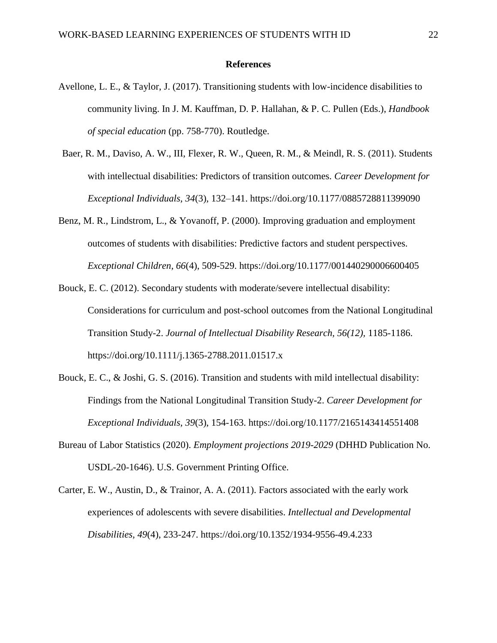#### **References**

- Avellone, L. E., & Taylor, J. (2017). Transitioning students with low-incidence disabilities to community living. In J. M. Kauffman, D. P. Hallahan, & P. C. Pullen (Eds.), *Handbook of special education* (pp. 758-770). Routledge.
- Baer, R. M., Daviso, A. W., III, Flexer, R. W., Queen, R. M., & Meindl, R. S. (2011). Students with intellectual disabilities: Predictors of transition outcomes. *Career Development for Exceptional Individuals, 34*(3)*,* 132–141. https://doi.org/10.1177/0885728811399090
- Benz, M. R., Lindstrom, L., & Yovanoff, P. (2000). Improving graduation and employment outcomes of students with disabilities: Predictive factors and student perspectives. *Exceptional Children, 66*(4), 509-529. https://doi.org/10.1177/001440290006600405
- Bouck, E. C. (2012). Secondary students with moderate/severe intellectual disability: Considerations for curriculum and post-school outcomes from the National Longitudinal Transition Study-2. *Journal of Intellectual Disability Research, 56(12),* 1185-1186. https://doi.org/10.1111/j.1365-2788.2011.01517.x
- Bouck, E. C., & Joshi, G. S. (2016). Transition and students with mild intellectual disability: Findings from the National Longitudinal Transition Study-2. *Career Development for Exceptional Individuals, 39*(3), 154-163. https://doi.org/10.1177/2165143414551408
- Bureau of Labor Statistics (2020). *Employment projections 2019-2029* (DHHD Publication No. USDL-20-1646). U.S. Government Printing Office.
- Carter, E. W., Austin, D., & Trainor, A. A. (2011). Factors associated with the early work experiences of adolescents with severe disabilities. *Intellectual and Developmental Disabilities, 49*(4), 233-247. https://doi.org/10.1352/1934-9556-49.4.233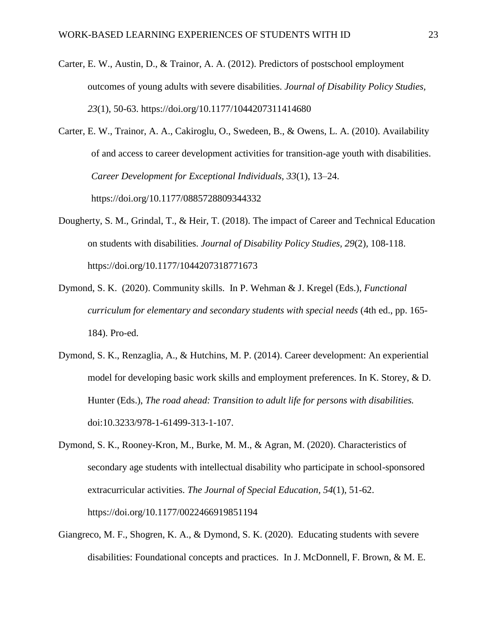- Carter, E. W., Austin, D., & Trainor, A. A. (2012). Predictors of postschool employment outcomes of young adults with severe disabilities. *Journal of Disability Policy Studies, 23*(1), 50-63. https://doi.org/10.1177/1044207311414680
- Carter, E. W., Trainor, A. A., Cakiroglu, O., Swedeen, B., & Owens, L. A. (2010). Availability of and access to career development activities for transition-age youth with disabilities. *Career Development for Exceptional Individuals, 33*(1), 13–24. https://doi.org/10.1177/0885728809344332
- Dougherty, S. M., Grindal, T., & Heir, T. (2018). The impact of Career and Technical Education on students with disabilities. *Journal of Disability Policy Studies, 29*(2)*,* 108-118. https://doi.org/10.1177/1044207318771673
- Dymond, S. K. (2020). Community skills. In P. Wehman & J. Kregel (Eds.), *Functional curriculum for elementary and secondary students with special needs* (4th ed., pp. 165- 184). Pro-ed.
- Dymond, S. K., Renzaglia, A., & Hutchins, M. P. (2014). Career development: An experiential model for developing basic work skills and employment preferences. In K. Storey, & D. Hunter (Eds.), *The road ahead: Transition to adult life for persons with disabilities.* doi:10.3233/978-1-61499-313-1-107.
- Dymond, S. K., Rooney-Kron, M., Burke, M. M., & Agran, M. (2020). Characteristics of secondary age students with intellectual disability who participate in school-sponsored extracurricular activities. *The Journal of Special Education, 54*(1), 51-62. https://doi.org/10.1177/0022466919851194
- Giangreco, M. F., Shogren, K. A., & Dymond, S. K. (2020). Educating students with severe disabilities: Foundational concepts and practices. In J. McDonnell, F. Brown, & M. E.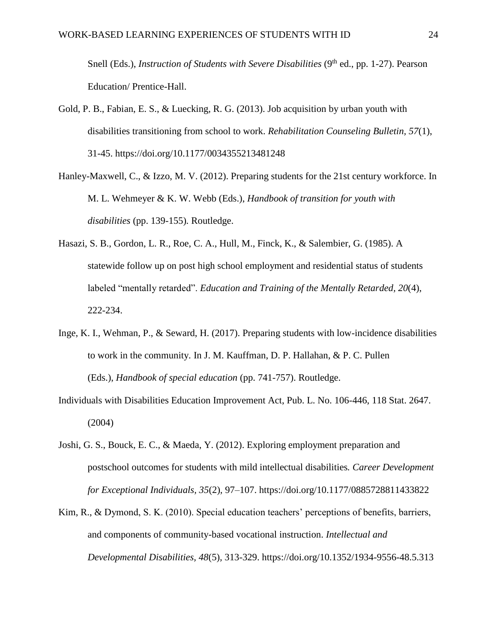Snell (Eds.), *Instruction of Students with Severe Disabilities* (9<sup>th</sup> ed., pp. 1-27). Pearson Education/ Prentice-Hall.

- Gold, P. B., Fabian, E. S., & Luecking, R. G. (2013). Job acquisition by urban youth with disabilities transitioning from school to work. *Rehabilitation Counseling Bulletin, 57*(1), 31-45. https://doi.org/10.1177/0034355213481248
- Hanley-Maxwell, C., & Izzo, M. V. (2012). Preparing students for the 21st century workforce. In M. L. Wehmeyer & K. W. Webb (Eds.), *Handbook of transition for youth with disabilities* (pp. 139-155)*.* Routledge.
- Hasazi, S. B., Gordon, L. R., Roe, C. A., Hull, M., Finck, K., & Salembier, G. (1985). A statewide follow up on post high school employment and residential status of students labeled "mentally retarded". *Education and Training of the Mentally Retarded, 20*(4), 222-234.
- Inge, K. I., Wehman, P., & Seward, H. (2017). Preparing students with low-incidence disabilities to work in the community. In J. M. Kauffman, D. P. Hallahan, & P. C. Pullen (Eds.), *Handbook of special education* (pp. 741-757). Routledge.
- Individuals with Disabilities Education Improvement Act, Pub. L. No. 106-446, 118 Stat. 2647. (2004)
- Joshi, G. S., Bouck, E. C., & Maeda, Y. (2012). Exploring employment preparation and postschool outcomes for students with mild intellectual disabilities*. Career Development for Exceptional Individuals, 35*(2)*,* 97–107. https://doi.org/10.1177/0885728811433822
- Kim, R., & Dymond, S. K. (2010). Special education teachers' perceptions of benefits, barriers, and components of community-based vocational instruction. *Intellectual and Developmental Disabilities, 48*(5)*,* 313-329. https://doi.org/10.1352/1934-9556-48.5.313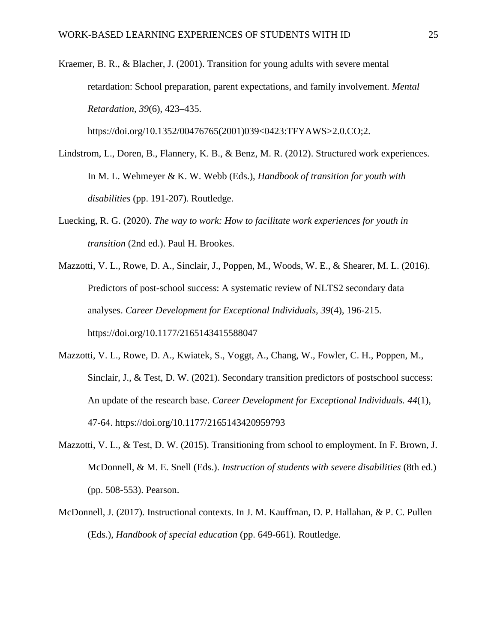Kraemer, B. R., & Blacher, J. (2001). Transition for young adults with severe mental retardation: School preparation, parent expectations, and family involvement. *Mental Retardation, 39*(6), 423–435.

https://doi.org/10.1352/00476765(2001)039<0423:TFYAWS>2.0.CO;2.

- Lindstrom, L., Doren, B., Flannery, K. B., & Benz, M. R. (2012). Structured work experiences. In M. L. Wehmeyer & K. W. Webb (Eds.), *Handbook of transition for youth with disabilities* (pp. 191-207)*.* Routledge.
- Luecking, R. G. (2020). *The way to work: How to facilitate work experiences for youth in transition* (2nd ed.). Paul H. Brookes.
- Mazzotti, V. L., Rowe, D. A., Sinclair, J., Poppen, M., Woods, W. E., & Shearer, M. L. (2016). Predictors of post-school success: A systematic review of NLTS2 secondary data analyses. *Career Development for Exceptional Individuals, 39*(4)*,* 196-215. https://doi.org/10.1177/2165143415588047
- Mazzotti, V. L., Rowe, D. A., Kwiatek, S., Voggt, A., Chang, W., Fowler, C. H., Poppen, M., Sinclair, J., & Test, D. W. (2021). Secondary transition predictors of postschool success: An update of the research base. *Career Development for Exceptional Individuals. 44*(1), 47-64. https://doi.org/10.1177/2165143420959793
- Mazzotti, V. L., & Test, D. W. (2015). Transitioning from school to employment. In F. Brown, J. McDonnell, & M. E. Snell (Eds.). *Instruction of students with severe disabilities* (8th ed.) (pp. 508-553). Pearson.
- McDonnell, J. (2017). Instructional contexts. In J. M. Kauffman, D. P. Hallahan, & P. C. Pullen (Eds.), *Handbook of special education* (pp. 649-661). Routledge.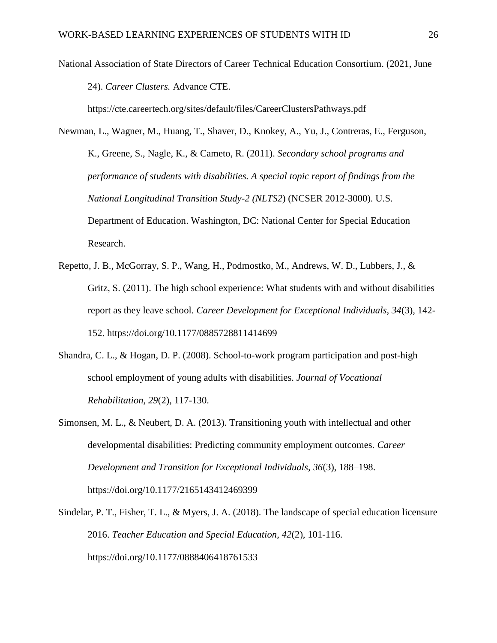National Association of State Directors of Career Technical Education Consortium. (2021, June 24). *Career Clusters.* Advance CTE.

https://cte.careertech.org/sites/default/files/CareerClustersPathways.pdf

- Newman, L., Wagner, M., Huang, T., Shaver, D., Knokey, A., Yu, J., Contreras, E., Ferguson, K., Greene, S., Nagle, K., & Cameto, R. (2011). *Secondary school programs and performance of students with disabilities. A special topic report of findings from the National Longitudinal Transition Study-2 (NLTS2*) (NCSER 2012-3000). U.S. Department of Education. Washington, DC: National Center for Special Education Research.
- Repetto, J. B., McGorray, S. P., Wang, H., Podmostko, M., Andrews, W. D., Lubbers, J., & Gritz, S. (2011). The high school experience: What students with and without disabilities report as they leave school. *Career Development for Exceptional Individuals, 34*(3)*,* 142- 152. https://doi.org/10.1177/0885728811414699
- Shandra, C. L., & Hogan, D. P. (2008). School-to-work program participation and post-high school employment of young adults with disabilities. *Journal of Vocational Rehabilitation, 29*(2), 117-130.
- Simonsen, M. L., & Neubert, D. A. (2013). Transitioning youth with intellectual and other developmental disabilities: Predicting community employment outcomes. *Career Development and Transition for Exceptional Individuals, 36*(3), 188–198. https://doi.org/10.1177/2165143412469399
- Sindelar, P. T., Fisher, T. L., & Myers, J. A. (2018). The landscape of special education licensure 2016. *Teacher Education and Special Education, 42*(2)*,* 101-116. https://doi.org/10.1177/0888406418761533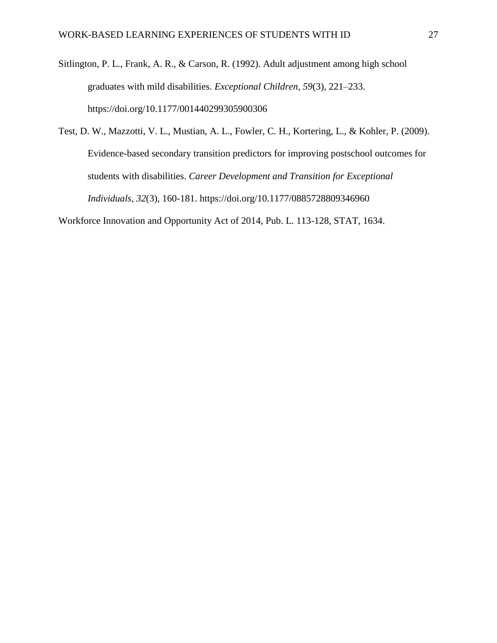Sitlington, P. L., Frank, A. R., & Carson, R. (1992). Adult adjustment among high school graduates with mild disabilities. *Exceptional Children, 59*(3), 221–233. https://doi.org/10.1177/001440299305900306

Test, D. W., Mazzotti, V. L., Mustian, A. L., Fowler, C. H., Kortering, L., & Kohler, P. (2009). Evidence-based secondary transition predictors for improving postschool outcomes for students with disabilities. *Career Development and Transition for Exceptional Individuals, 32*(3), 160-181. https://doi.org/10.1177/0885728809346960

Workforce Innovation and Opportunity Act of 2014, Pub. L. 113-128, STAT, 1634.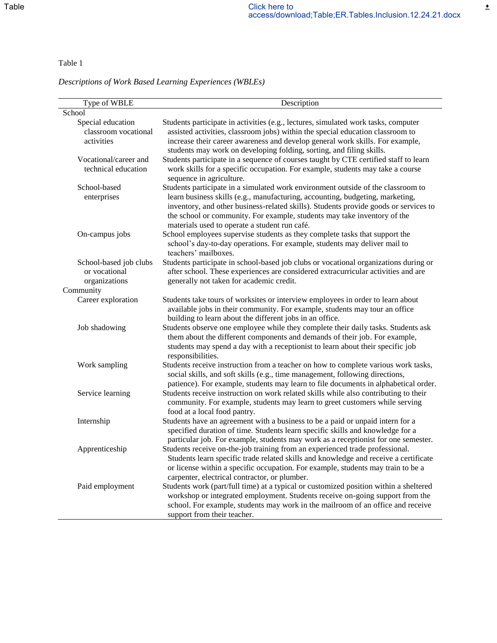# *Descriptions of Work Based Learning Experiences (WBLEs)*

| Type of WBLE                                                          | Description                                                                                                                                                                                                                                                                                                                                                                            |
|-----------------------------------------------------------------------|----------------------------------------------------------------------------------------------------------------------------------------------------------------------------------------------------------------------------------------------------------------------------------------------------------------------------------------------------------------------------------------|
| School                                                                |                                                                                                                                                                                                                                                                                                                                                                                        |
| Special education<br>classroom vocational<br>activities               | Students participate in activities (e.g., lectures, simulated work tasks, computer<br>assisted activities, classroom jobs) within the special education classroom to<br>increase their career awareness and develop general work skills. For example,<br>students may work on developing folding, sorting, and filing skills.                                                          |
| Vocational/career and<br>technical education                          | Students participate in a sequence of courses taught by CTE certified staff to learn<br>work skills for a specific occupation. For example, students may take a course<br>sequence in agriculture.                                                                                                                                                                                     |
| School-based<br>enterprises                                           | Students participate in a simulated work environment outside of the classroom to<br>learn business skills (e.g., manufacturing, accounting, budgeting, marketing,<br>inventory, and other business-related skills). Students provide goods or services to<br>the school or community. For example, students may take inventory of the<br>materials used to operate a student run café. |
| On-campus jobs                                                        | School employees supervise students as they complete tasks that support the<br>school's day-to-day operations. For example, students may deliver mail to<br>teachers' mailboxes.                                                                                                                                                                                                       |
| School-based job clubs<br>or vocational<br>organizations<br>Community | Students participate in school-based job clubs or vocational organizations during or<br>after school. These experiences are considered extracurricular activities and are<br>generally not taken for academic credit.                                                                                                                                                                  |
| Career exploration                                                    | Students take tours of worksites or interview employees in order to learn about<br>available jobs in their community. For example, students may tour an office<br>building to learn about the different jobs in an office.                                                                                                                                                             |
| Job shadowing                                                         | Students observe one employee while they complete their daily tasks. Students ask<br>them about the different components and demands of their job. For example,<br>students may spend a day with a receptionist to learn about their specific job<br>responsibilities.                                                                                                                 |
| Work sampling                                                         | Students receive instruction from a teacher on how to complete various work tasks,<br>social skills, and soft skills (e.g., time management, following directions,<br>patience). For example, students may learn to file documents in alphabetical order.                                                                                                                              |
| Service learning                                                      | Students receive instruction on work related skills while also contributing to their<br>community. For example, students may learn to greet customers while serving<br>food at a local food pantry.                                                                                                                                                                                    |
| Internship                                                            | Students have an agreement with a business to be a paid or unpaid intern for a<br>specified duration of time. Students learn specific skills and knowledge for a<br>particular job. For example, students may work as a receptionist for one semester.                                                                                                                                 |
| Apprenticeship                                                        | Students receive on-the-job training from an experienced trade professional.<br>Students learn specific trade related skills and knowledge and receive a certificate<br>or license within a specific occupation. For example, students may train to be a<br>carpenter, electrical contractor, or plumber.                                                                              |
| Paid employment                                                       | Students work (part/full time) at a typical or customized position within a sheltered<br>workshop or integrated employment. Students receive on-going support from the<br>school. For example, students may work in the mailroom of an office and receive<br>support from their teacher.                                                                                               |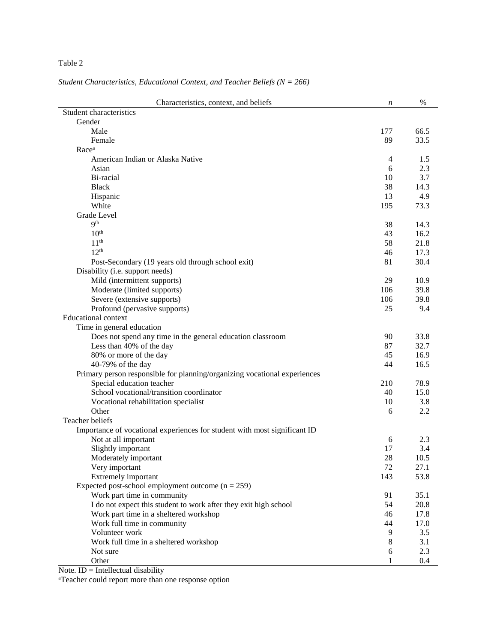*Student Characteristics, Educational Context, and Teacher Beliefs (N = 266)* 

| Characteristics, context, and beliefs                                     | n   | $\%$        |
|---------------------------------------------------------------------------|-----|-------------|
| Student characteristics                                                   |     |             |
| Gender                                                                    |     |             |
| Male                                                                      | 177 | 66.5        |
| Female                                                                    | 89  | 33.5        |
| Race <sup>a</sup>                                                         |     |             |
| American Indian or Alaska Native                                          | 4   | 1.5         |
| Asian                                                                     | 6   | 2.3         |
| Bi-racial                                                                 | 10  | 3.7         |
| <b>Black</b>                                                              | 38  | 14.3        |
| Hispanic                                                                  | 13  | 4.9         |
| White                                                                     | 195 | 73.3        |
| Grade Level                                                               |     |             |
| <b>Qth</b>                                                                | 38  | 14.3        |
| 10 <sup>th</sup>                                                          | 43  | 16.2        |
| 11 <sup>th</sup>                                                          | 58  | 21.8        |
| 12 <sup>th</sup>                                                          | 46  | 17.3        |
| Post-Secondary (19 years old through school exit)                         | 81  | 30.4        |
| Disability (i.e. support needs)                                           |     |             |
| Mild (intermittent supports)                                              | 29  | 10.9        |
| Moderate (limited supports)                                               | 106 | 39.8        |
| Severe (extensive supports)                                               | 106 | 39.8        |
| Profound (pervasive supports)                                             | 25  | 9.4         |
| <b>Educational context</b>                                                |     |             |
| Time in general education                                                 |     |             |
| Does not spend any time in the general education classroom                | 90  | 33.8        |
| Less than 40% of the day                                                  | 87  | 32.7        |
| 80% or more of the day                                                    | 45  | 16.9        |
| 40-79% of the day                                                         | 44  | 16.5        |
| Primary person responsible for planning/organizing vocational experiences |     |             |
| Special education teacher                                                 | 210 | 78.9        |
| School vocational/transition coordinator                                  | 40  | 15.0        |
| Vocational rehabilitation specialist                                      | 10  | 3.8         |
| Other                                                                     | 6   | 2.2         |
| Teacher beliefs                                                           |     |             |
| Importance of vocational experiences for student with most significant ID |     |             |
| Not at all important                                                      | 6   | 2.3         |
| Slightly important                                                        | 17  | 3.4         |
| Moderately important                                                      | 28  | $10.5\,$    |
| Very important                                                            | 72  | 27.1        |
| Extremely important                                                       | 143 | 53.8        |
| Expected post-school employment outcome $(n = 259)$                       |     |             |
| Work part time in community                                               | 91  | 35.1        |
| I do not expect this student to work after they exit high school          | 54  | 20.8        |
| Work part time in a sheltered workshop                                    | 46  | 17.8        |
|                                                                           |     |             |
| Work full time in community<br>Volunteer work                             | 44  | 17.0<br>3.5 |
|                                                                           | 9   |             |
| Work full time in a sheltered workshop                                    | 8   | 3.1<br>2.3  |
| Not sure                                                                  | 6   |             |
| Other                                                                     | 1   | 0.4         |

Note.  $ID = Intellectual disability$ 

aTeacher could report more than one response option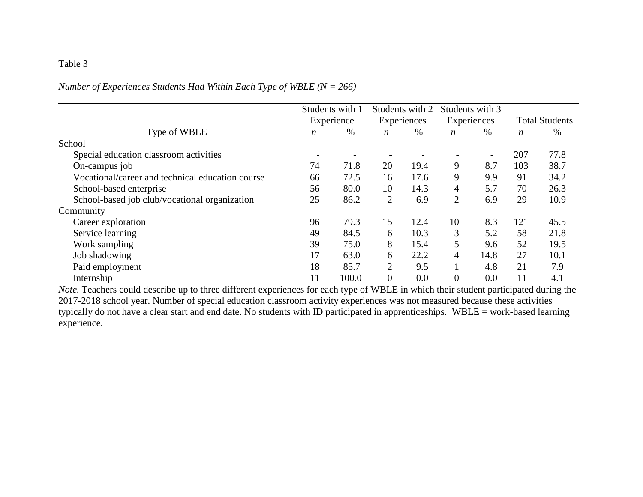# *Number of Experiences Students Had Within Each Type of WBLE (N = 266)*

|                                                  | Students with 1          |       | Students with 2  |      | Students with 3          |                          |                       |      |
|--------------------------------------------------|--------------------------|-------|------------------|------|--------------------------|--------------------------|-----------------------|------|
|                                                  | Experience               |       | Experiences      |      | Experiences              |                          | <b>Total Students</b> |      |
| Type of WBLE                                     | n                        | %     | $\boldsymbol{n}$ | $\%$ | $\boldsymbol{n}$         | $\%$                     | $\boldsymbol{n}$      | %    |
| School                                           |                          |       |                  |      |                          |                          |                       |      |
| Special education classroom activities           | $\overline{\phantom{a}}$ |       |                  |      | $\overline{\phantom{a}}$ | $\overline{\phantom{a}}$ | 207                   | 77.8 |
| On-campus job                                    | 74                       | 71.8  | 20               | 19.4 | 9                        | 8.7                      | 103                   | 38.7 |
| Vocational/career and technical education course | 66                       | 72.5  | 16               | 17.6 | 9                        | 9.9                      | 91                    | 34.2 |
| School-based enterprise                          | 56                       | 80.0  | 10               | 14.3 | $\overline{4}$           | 5.7                      | 70                    | 26.3 |
| School-based job club/vocational organization    | 25                       | 86.2  | $\overline{2}$   | 6.9  | $\overline{2}$           | 6.9                      | 29                    | 10.9 |
| Community                                        |                          |       |                  |      |                          |                          |                       |      |
| Career exploration                               | 96                       | 79.3  | 15               | 12.4 | 10                       | 8.3                      | 121                   | 45.5 |
| Service learning                                 | 49                       | 84.5  | 6                | 10.3 | 3                        | 5.2                      | 58                    | 21.8 |
| Work sampling                                    | 39                       | 75.0  | 8                | 15.4 | 5                        | 9.6                      | 52                    | 19.5 |
| Job shadowing                                    | 17                       | 63.0  | 6                | 22.2 | $\overline{4}$           | 14.8                     | 27                    | 10.1 |
| Paid employment                                  | 18                       | 85.7  | $\overline{2}$   | 9.5  |                          | 4.8                      | 21                    | 7.9  |
| Internship                                       |                          | 100.0 | $\overline{0}$   | 0.0  | $\overline{0}$           | 0.0                      | 11                    | 4.1  |

*Note.* Teachers could describe up to three different experiences for each type of WBLE in which their student participated during the 2017-2018 school year. Number of special education classroom activity experiences was not measured because these activities typically do not have a clear start and end date. No students with ID participated in apprenticeships. WBLE = work-based learning experience.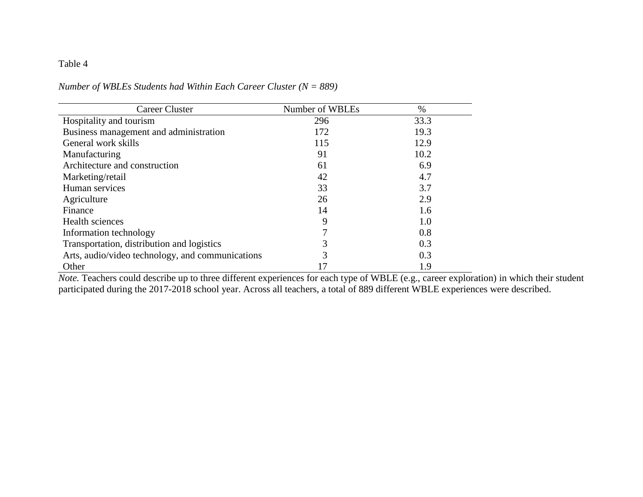| <b>Career Cluster</b>                            | Number of WBLEs | $\%$ |
|--------------------------------------------------|-----------------|------|
| Hospitality and tourism                          | 296             | 33.3 |
| Business management and administration           | 172             | 19.3 |
| General work skills                              | 115             | 12.9 |
| Manufacturing                                    | 91              | 10.2 |
| Architecture and construction                    | 61              | 6.9  |
| Marketing/retail                                 | 42              | 4.7  |
| Human services                                   | 33              | 3.7  |
| Agriculture                                      | 26              | 2.9  |
| Finance                                          | 14              | 1.6  |
| Health sciences                                  | 9               | 1.0  |
| Information technology                           |                 | 0.8  |
| Transportation, distribution and logistics       | 3               | 0.3  |
| Arts, audio/video technology, and communications | 3               | 0.3  |
| Other                                            |                 | 1.9  |

*Number of WBLEs Students had Within Each Career Cluster (N = 889)*

*Note.* Teachers could describe up to three different experiences for each type of WBLE (e.g., career exploration) in which their student participated during the 2017-2018 school year. Across all teachers, a total of 889 different WBLE experiences were described.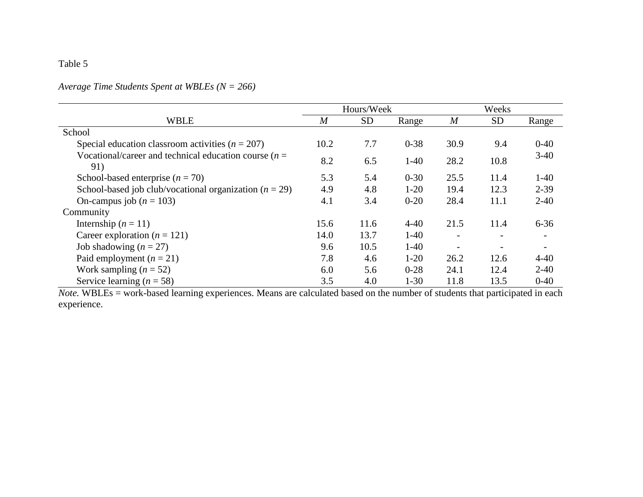# *Average Time Students Spent at WBLEs (N = 266)*

|                                                                 | Hours/Week |           |          | Weeks            |           |          |
|-----------------------------------------------------------------|------------|-----------|----------|------------------|-----------|----------|
| <b>WBLE</b>                                                     | M          | <b>SD</b> | Range    | $\boldsymbol{M}$ | <b>SD</b> | Range    |
| School                                                          |            |           |          |                  |           |          |
| Special education classroom activities ( $n = 207$ )            | 10.2       | 7.7       | $0 - 38$ | 30.9             | 9.4       | $0 - 40$ |
| Vocational/career and technical education course ( $n =$<br>91) | 8.2        | 6.5       | $1-40$   | 28.2             | 10.8      | $3-40$   |
| School-based enterprise $(n = 70)$                              | 5.3        | 5.4       | $0 - 30$ | 25.5             | 11.4      | $1-40$   |
| School-based job club/vocational organization $(n = 29)$        | 4.9        | 4.8       | $1-20$   | 19.4             | 12.3      | $2 - 39$ |
| On-campus job ( $n = 103$ )                                     | 4.1        | 3.4       | $0 - 20$ | 28.4             | 11.1      | $2 - 40$ |
| Community                                                       |            |           |          |                  |           |          |
| Internship $(n = 11)$                                           | 15.6       | 11.6      | $4 - 40$ | 21.5             | 11.4      | $6 - 36$ |
| Career exploration ( $n = 121$ )                                | 14.0       | 13.7      | $1-40$   |                  |           |          |
| Job shadowing $(n = 27)$                                        | 9.6        | 10.5      | $1-40$   |                  |           |          |
| Paid employment $(n = 21)$                                      | 7.8        | 4.6       | $1-20$   | 26.2             | 12.6      | $4 - 40$ |
| Work sampling $(n = 52)$                                        | 6.0        | 5.6       | $0 - 28$ | 24.1             | 12.4      | $2 - 40$ |
| Service learning $(n = 58)$                                     | 3.5        | 4.0       | $1 - 30$ | 11.8             | 13.5      | $0 - 40$ |

*Note.* WBLEs = work-based learning experiences. Means are calculated based on the number of students that participated in each experience.